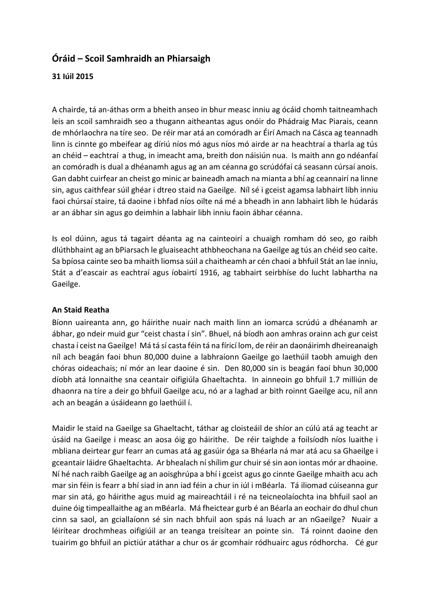# **Óráid – Scoil Samhraidh an Phiarsaigh**

## **31 Iúil 2015**

A chairde, tá an-áthas orm a bheith anseo in bhur measc inniu ag ócáid chomh taitneamhach leis an scoil samhraidh seo a thugann aitheantas agus onóir do Phádraig Mac Piarais, ceann de mhórlaochra na tíre seo. De réir mar atá an comóradh ar Éirí Amach na Cásca ag teannadh linn is cinnte go mbeifear ag díriú níos mó agus níos mó airde ar na heachtraí a tharla ag tús an chéid – eachtraí a thug, in imeacht ama, breith don náisiún nua. Is maith ann go ndéanfaí an comóradh is dual a dhéanamh agus ag an am céanna go scrúdófaí cá seasann cúrsaí anois. Gan dabht cuirfear an cheist go minic ar baineadh amach na mianta a bhí ag ceannairí na linne sin, agus caithfear súil ghéar i dtreo staid na Gaeilge. Níl sé i gceist agamsa labhairt libh inniu faoi chúrsaí staire, tá daoine i bhfad níos oilte ná mé a bheadh in ann labhairt libh le húdarás ar an ábhar sin agus go deimhin a labhair libh inniu faoin ábhar céanna.

Is eol dúinn, agus tá tagairt déanta ag na cainteoirí a chuaigh romham dó seo, go raibh dlúthbhaint ag an bPiarsach le gluaiseacht athbheochana na Gaeilge ag tús an chéid seo caite. Sa bpíosa cainte seo ba mhaith liomsa súil a chaitheamh ar cén chaoi a bhfuil Stát an lae inniu, Stát a d'eascair as eachtraí agus íobairtí 1916, ag tabhairt seirbhíse do lucht labhartha na Gaeilge.

### **An Staid Reatha**

Bíonn uaireanta ann, go háirithe nuair nach maith linn an iomarca scrúdú a dhéanamh ar ábhar, go ndeir muid gur "ceist chasta í sin". Bhuel, ná bíodh aon amhras orainn ach gur ceist chasta í ceist na Gaeilge! Má tá sí casta féin tá na fíricí lom, de réir an daonáirimh dheireanaigh níl ach beagán faoi bhun 80,000 duine a labhraíonn Gaeilge go laethúil taobh amuigh den chóras oideachais; ní mór an lear daoine é sin. Den 80,000 sin is beagán faoi bhun 30,000 díobh atá lonnaithe sna ceantair oifigiúla Ghaeltachta. In ainneoin go bhfuil 1.7 milliún de dhaonra na tíre a deir go bhfuil Gaeilge acu, nó ar a laghad ar bith roinnt Gaeilge acu, níl ann ach an beagán a úsáideann go laethúil í.

Maidir le staid na Gaeilge sa Ghaeltacht, táthar ag cloisteáil de shíor an cúlú atá ag teacht ar úsáid na Gaeilge i measc an aosa óig go háirithe. De réir taighde a foilsíodh níos luaithe i mbliana deirtear gur fearr an cumas atá ag gasúir óga sa Bhéarla ná mar atá acu sa Ghaeilge i gceantair láidre Ghaeltachta. Ar bhealach ní shílim gur chuir sé sin aon iontas mór ar dhaoine. Ní hé nach raibh Gaeilge ag an aoisghrúpa a bhí i gceist agus go cinnte Gaeilge mhaith acu ach mar sin féin is fearr a bhí siad in ann iad féin a chur in iúl i mBéarla. Tá iliomad cúiseanna gur mar sin atá, go háirithe agus muid ag maireachtáil i ré na teicneolaíochta ina bhfuil saol an duine óig timpeallaithe ag an mBéarla. Má fheictear gurb é an Béarla an eochair do dhul chun cinn sa saol, an gciallaíonn sé sin nach bhfuil aon spás ná luach ar an nGaeilge? Nuair a léirítear drochmheas oifigiúil ar an teanga treisítear an pointe sin. Tá roinnt daoine den tuairim go bhfuil an pictiúr atáthar a chur os ár gcomhair ródhuairc agus ródhorcha. Cé gur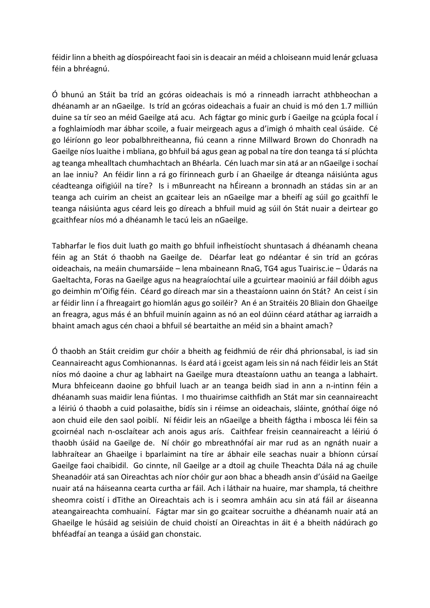féidir linn a bheith ag díospóireacht faoi sin is deacair an méid a chloiseann muid lenár gcluasa féin a bhréagnú.

Ó bhunú an Stáit ba tríd an gcóras oideachais is mó a rinneadh iarracht athbheochan a dhéanamh ar an nGaeilge. Is tríd an gcóras oideachais a fuair an chuid is mó den 1.7 milliún duine sa tír seo an méid Gaeilge atá acu. Ach fágtar go minic gurb í Gaeilge na gcúpla focal í a foghlaimíodh mar ábhar scoile, a fuair meirgeach agus a d'imigh ó mhaith ceal úsáide. Cé go léiríonn go leor pobalbhreitheanna, fiú ceann a rinne Millward Brown do Chonradh na Gaeilge níos luaithe i mbliana, go bhfuil bá agus gean ag pobal na tíre don teanga tá sí plúchta ag teanga mhealltach chumhachtach an Bhéarla. Cén luach mar sin atá ar an nGaeilge i sochaí an lae inniu? An féidir linn a rá go fírinneach gurb í an Ghaeilge ár dteanga náisiúnta agus céadteanga oifigiúil na tíre? Is i mBunreacht na hÉireann a bronnadh an stádas sin ar an teanga ach cuirim an cheist an gcaitear leis an nGaeilge mar a bheifí ag súil go gcaithfí le teanga náisiúnta agus céard leis go díreach a bhfuil muid ag súil ón Stát nuair a deirtear go gcaithfear níos mó a dhéanamh le tacú leis an nGaeilge.

Tabharfar le fios duit luath go maith go bhfuil infheistíocht shuntasach á dhéanamh cheana féin ag an Stát ó thaobh na Gaeilge de. Déarfar leat go ndéantar é sin tríd an gcóras oideachais, na meáin chumarsáide – lena mbaineann RnaG, TG4 agus Tuairisc.ie – Údarás na Gaeltachta, Foras na Gaeilge agus na heagraíochtaí uile a gcuirtear maoiniú ar fáil dóibh agus go deimhin m'Oifig féin. Céard go díreach mar sin a theastaíonn uainn ón Stát? An ceist í sin ar féidir linn í a fhreagairt go hiomlán agus go soiléir? An é an Straitéis 20 Bliain don Ghaeilge an freagra, agus más é an bhfuil muinín againn as nó an eol dúinn céard atáthar ag iarraidh a bhaint amach agus cén chaoi a bhfuil sé beartaithe an méid sin a bhaint amach?

Ó thaobh an Stáit creidim gur chóir a bheith ag feidhmiú de réir dhá phrionsabal, is iad sin Ceannaireacht agus Comhionannas. Is éard atá i gceist agam leis sin ná nach féidir leis an Stát níos mó daoine a chur ag labhairt na Gaeilge mura dteastaíonn uathu an teanga a labhairt. Mura bhfeiceann daoine go bhfuil luach ar an teanga beidh siad in ann a n-intinn féin a dhéanamh suas maidir lena fiúntas. I mo thuairimse caithfidh an Stát mar sin ceannaireacht a léiriú ó thaobh a cuid polasaithe, bídís sin i réimse an oideachais, sláinte, gnóthaí óige nó aon chuid eile den saol poiblí. Ní féidir leis an nGaeilge a bheith fágtha i mbosca léi féin sa gcoirnéal nach n-osclaítear ach anois agus arís. Caithfear freisin ceannaireacht a léiriú ó thaobh úsáid na Gaeilge de. Ní chóir go mbreathnófaí air mar rud as an ngnáth nuair a labhraítear an Ghaeilge i bparlaimint na tíre ar ábhair eile seachas nuair a bhíonn cúrsaí Gaeilge faoi chaibidil. Go cinnte, níl Gaeilge ar a dtoil ag chuile Theachta Dála ná ag chuile Sheanadóir atá san Oireachtas ach níor chóir gur aon bhac a bheadh ansin d'úsáid na Gaeilge nuair atá na háiseanna cearta curtha ar fáil. Ach i láthair na huaire, mar shampla, tá cheithre sheomra coistí i dTithe an Oireachtais ach is i seomra amháin acu sin atá fáil ar áiseanna ateangaireachta comhuainí. Fágtar mar sin go gcaitear socruithe a dhéanamh nuair atá an Ghaeilge le húsáid ag seisiúin de chuid choistí an Oireachtas in áit é a bheith nádúrach go bhféadfaí an teanga a úsáid gan chonstaic.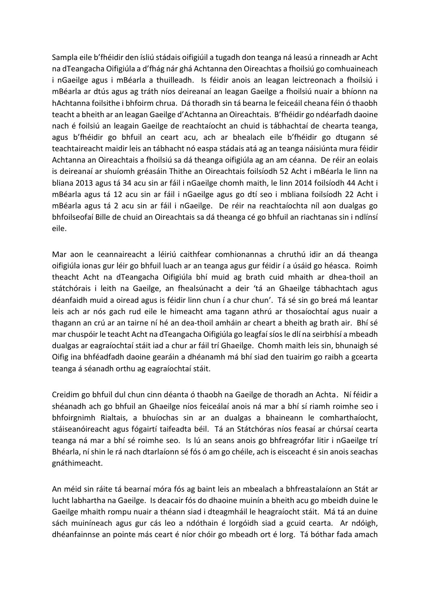Sampla eile b'fhéidir den ísliú stádais oifigiúil a tugadh don teanga ná leasú a rinneadh ar Acht na dTeangacha Oifigiúla a d'fhág nár ghá Achtanna den Oireachtas a fhoilsiú go comhuaineach i nGaeilge agus i mBéarla a thuilleadh. Is féidir anois an leagan leictreonach a fhoilsiú i mBéarla ar dtús agus ag tráth níos deireanaí an leagan Gaeilge a fhoilsiú nuair a bhíonn na hAchtanna foilsithe i bhfoirm chrua. Dá thoradh sin tá bearna le feiceáil cheana féin ó thaobh teacht a bheith ar an leagan Gaeilge d'Achtanna an Oireachtais. B'fhéidir go ndéarfadh daoine nach é foilsiú an leagain Gaeilge de reachtaíocht an chuid is tábhachtaí de chearta teanga, agus b'fhéidir go bhfuil an ceart acu, ach ar bhealach eile b'fhéidir go dtugann sé teachtaireacht maidir leis an tábhacht nó easpa stádais atá ag an teanga náisiúnta mura féidir Achtanna an Oireachtais a fhoilsiú sa dá theanga oifigiúla ag an am céanna. De réir an eolais is deireanaí ar shuíomh gréasáin Thithe an Oireachtais foilsíodh 52 Acht i mBéarla le linn na bliana 2013 agus tá 34 acu sin ar fáil i nGaeilge chomh maith, le linn 2014 foilsíodh 44 Acht i mBéarla agus tá 12 acu sin ar fáil i nGaeilge agus go dtí seo i mbliana foilsíodh 22 Acht i mBéarla agus tá 2 acu sin ar fáil i nGaeilge. De réir na reachtaíochta níl aon dualgas go bhfoilseofaí Bille de chuid an Oireachtais sa dá theanga cé go bhfuil an riachtanas sin i ndlínsí eile.

Mar aon le ceannaireacht a léiriú caithfear comhionannas a chruthú idir an dá theanga oifigiúla ionas gur léir go bhfuil luach ar an teanga agus gur féidir í a úsáid go héasca. Roimh theacht Acht na dTeangacha Oifigiúla bhí muid ag brath cuid mhaith ar dhea-thoil an státchórais i leith na Gaeilge, an fhealsúnacht a deir 'tá an Ghaeilge tábhachtach agus déanfaidh muid a oiread agus is féidir linn chun í a chur chun'. Tá sé sin go breá má leantar leis ach ar nós gach rud eile le himeacht ama tagann athrú ar thosaíochtaí agus nuair a thagann an crú ar an tairne ní hé an dea-thoil amháin ar cheart a bheith ag brath air. Bhí sé mar chuspóir le teacht Acht na dTeangacha Oifigiúla go leagfaí síos le dlí na seirbhísí a mbeadh dualgas ar eagraíochtaí stáit iad a chur ar fáil trí Ghaeilge. Chomh maith leis sin, bhunaigh sé Oifig ina bhféadfadh daoine gearáin a dhéanamh má bhí siad den tuairim go raibh a gcearta teanga á séanadh orthu ag eagraíochtaí stáit.

Creidim go bhfuil dul chun cinn déanta ó thaobh na Gaeilge de thoradh an Achta. Ní féidir a shéanadh ach go bhfuil an Ghaeilge níos feiceálaí anois ná mar a bhí sí riamh roimhe seo i bhfoirgnimh Rialtais, a bhuíochas sin ar an dualgas a bhaineann le comharthaíocht, stáiseanóireacht agus fógairtí taifeadta béil. Tá an Státchóras níos feasaí ar chúrsaí cearta teanga ná mar a bhí sé roimhe seo. Is lú an seans anois go bhfreagrófar litir i nGaeilge trí Bhéarla, ní shin le rá nach dtarlaíonn sé fós ó am go chéile, ach is eisceacht é sin anois seachas gnáthimeacht.

An méid sin ráite tá bearnaí móra fós ag baint leis an mbealach a bhfreastalaíonn an Stát ar lucht labhartha na Gaeilge. Is deacair fós do dhaoine muinín a bheith acu go mbeidh duine le Gaeilge mhaith rompu nuair a théann siad i dteagmháil le heagraíocht stáit. Má tá an duine sách muiníneach agus gur cás leo a ndóthain é lorgóidh siad a gcuid cearta. Ar ndóigh, dhéanfainnse an pointe más ceart é níor chóir go mbeadh ort é lorg. Tá bóthar fada amach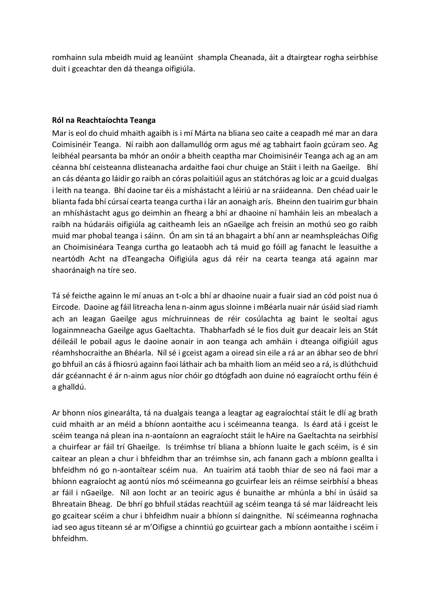romhainn sula mbeidh muid ag leanúint shampla Cheanada, áit a dtairgtear rogha seirbhíse duit i gceachtar den dá theanga oifigiúla.

#### **Ról na Reachtaíochta Teanga**

Mar is eol do chuid mhaith agaibh is i mí Márta na bliana seo caite a ceapadh mé mar an dara Coimisinéir Teanga. Ní raibh aon dallamullóg orm agus mé ag tabhairt faoin gcúram seo. Ag leibhéal pearsanta ba mhór an onóir a bheith ceaptha mar Choimisinéir Teanga ach ag an am céanna bhí ceisteanna dlisteanacha ardaithe faoi chur chuige an Stáit i leith na Gaeilge. Bhí an cás déanta go láidir go raibh an córas polaitiúil agus an státchóras ag loic ar a gcuid dualgas i leith na teanga. Bhí daoine tar éis a míshástacht a léiriú ar na sráideanna. Den chéad uair le blianta fada bhí cúrsaí cearta teanga curtha i lár an aonaigh arís. Bheinn den tuairim gur bhain an mhíshástacht agus go deimhin an fhearg a bhí ar dhaoine ní hamháin leis an mbealach a raibh na húdaráis oifigiúla ag caitheamh leis an nGaeilge ach freisin an mothú seo go raibh muid mar phobal teanga i sáinn. Ón am sin tá an bhagairt a bhí ann ar neamhspleáchas Oifig an Choimisinéara Teanga curtha go leataobh ach tá muid go fóill ag fanacht le leasuithe a neartódh Acht na dTeangacha Oifigiúla agus dá réir na cearta teanga atá againn mar shaoránaigh na tíre seo.

Tá sé feicthe againn le mí anuas an t-olc a bhí ar dhaoine nuair a fuair siad an cód poist nua ó Eircode. Daoine ag fáil litreacha lena n-ainm agus sloinne i mBéarla nuair nár úsáid siad riamh ach an leagan Gaeilge agus míchruinneas de réir cosúlachta ag baint le seoltaí agus logainmneacha Gaeilge agus Gaeltachta. Thabharfadh sé le fios duit gur deacair leis an Stát déileáil le pobail agus le daoine aonair in aon teanga ach amháin i dteanga oifigiúil agus réamhshocraithe an Bhéarla. Níl sé i gceist agam a oiread sin eile a rá ar an ábhar seo de bhrí go bhfuil an cás á fhiosrú againn faoi láthair ach ba mhaith liom an méid seo a rá, is dlúthchuid dár gcéannacht é ár n-ainm agus níor chóir go dtógfadh aon duine nó eagraíocht orthu féin é a ghalldú.

Ar bhonn níos ginearálta, tá na dualgais teanga a leagtar ag eagraíochtaí stáit le dlí ag brath cuid mhaith ar an méid a bhíonn aontaithe acu i scéimeanna teanga. Is éard atá i gceist le scéim teanga ná plean ina n-aontaíonn an eagraíocht stáit le hAire na Gaeltachta na seirbhísí a chuirfear ar fáil trí Ghaeilge. Is tréimhse trí bliana a bhíonn luaite le gach scéim, is é sin caitear an plean a chur i bhfeidhm thar an tréimhse sin, ach fanann gach a mbíonn geallta i bhfeidhm nó go n-aontaítear scéim nua. An tuairim atá taobh thiar de seo ná faoi mar a bhíonn eagraíocht ag aontú níos mó scéimeanna go gcuirfear leis an réimse seirbhísí a bheas ar fáil i nGaeilge. Níl aon locht ar an teoiric agus é bunaithe ar mhúnla a bhí in úsáid sa Bhreatain Bheag. De bhrí go bhfuil stádas reachtúil ag scéim teanga tá sé mar láidreacht leis go gcaitear scéim a chur i bhfeidhm nuair a bhíonn sí daingnithe. Ní scéimeanna roghnacha iad seo agus titeann sé ar m'Oifigse a chinntiú go gcuirtear gach a mbíonn aontaithe i scéim i bhfeidhm.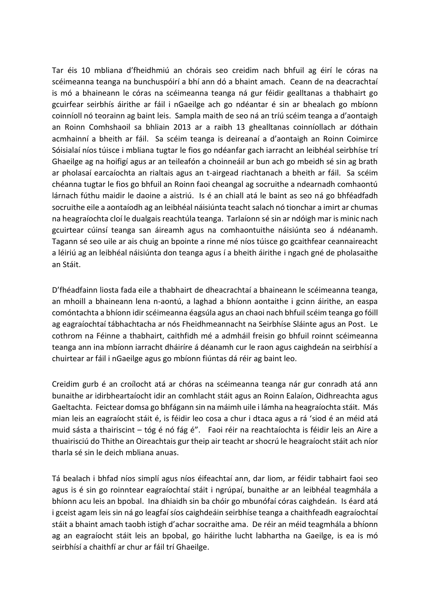Tar éis 10 mbliana d'fheidhmiú an chórais seo creidim nach bhfuil ag éirí le córas na scéimeanna teanga na bunchuspóirí a bhí ann dó a bhaint amach. Ceann de na deacrachtaí is mó a bhaineann le córas na scéimeanna teanga ná gur féidir gealltanas a thabhairt go gcuirfear seirbhís áirithe ar fáil i nGaeilge ach go ndéantar é sin ar bhealach go mbíonn coinníoll nó teorainn ag baint leis. Sampla maith de seo ná an tríú scéim teanga a d'aontaigh an Roinn Comhshaoil sa bhliain 2013 ar a raibh 13 ghealltanas coinníollach ar dóthain acmhainní a bheith ar fáil. Sa scéim teanga is deireanaí a d'aontaigh an Roinn Coimirce Sóisialaí níos túisce i mbliana tugtar le fios go ndéanfar gach iarracht an leibhéal seirbhíse trí Ghaeilge ag na hoifigí agus ar an teileafón a choinneáil ar bun ach go mbeidh sé sin ag brath ar pholasaí earcaíochta an rialtais agus an t-airgead riachtanach a bheith ar fáil. Sa scéim chéanna tugtar le fios go bhfuil an Roinn faoi cheangal ag socruithe a ndearnadh comhaontú lárnach fúthu maidir le daoine a aistriú. Is é an chiall atá le baint as seo ná go bhféadfadh socruithe eile a aontaíodh ag an leibhéal náisiúnta teacht salach nó tionchar a imirt ar chumas na heagraíochta cloí le dualgais reachtúla teanga. Tarlaíonn sé sin ar ndóigh mar is minic nach gcuirtear cúinsí teanga san áireamh agus na comhaontuithe náisiúnta seo á ndéanamh. Tagann sé seo uile ar ais chuig an bpointe a rinne mé níos túisce go gcaithfear ceannaireacht a léiriú ag an leibhéal náisiúnta don teanga agus í a bheith áirithe i ngach gné de pholasaithe an Stáit.

D'fhéadfainn liosta fada eile a thabhairt de dheacrachtaí a bhaineann le scéimeanna teanga, an mhoill a bhaineann lena n-aontú, a laghad a bhíonn aontaithe i gcinn áirithe, an easpa comóntachta a bhíonn idir scéimeanna éagsúla agus an chaoi nach bhfuil scéim teanga go fóill ag eagraíochtaí tábhachtacha ar nós Fheidhmeannacht na Seirbhíse Sláinte agus an Post. Le cothrom na Féinne a thabhairt, caithfidh mé a admháil freisin go bhfuil roinnt scéimeanna teanga ann ina mbíonn iarracht dháiríre á déanamh cur le raon agus caighdeán na seirbhísí a chuirtear ar fáil i nGaeilge agus go mbíonn fiúntas dá réir ag baint leo.

Creidim gurb é an croílocht atá ar chóras na scéimeanna teanga nár gur conradh atá ann bunaithe ar idirbheartaíocht idir an comhlacht stáit agus an Roinn Ealaíon, Oidhreachta agus Gaeltachta. Feictear domsa go bhfágann sin na máimh uile i lámha na heagraíochta stáit. Más mian leis an eagraíocht stáit é, is féidir leo cosa a chur i dtaca agus a rá 'siod é an méid atá muid sásta a thairiscint – tóg é nó fág é". Faoi réir na reachtaíochta is féidir leis an Aire a thuairisciú do Thithe an Oireachtais gur theip air teacht ar shocrú le heagraíocht stáit ach níor tharla sé sin le deich mbliana anuas.

Tá bealach i bhfad níos simplí agus níos éifeachtaí ann, dar liom, ar féidir tabhairt faoi seo agus is é sin go roinntear eagraíochtaí stáit i ngrúpaí, bunaithe ar an leibhéal teagmhála a bhíonn acu leis an bpobal. Ina dhiaidh sin ba chóir go mbunófaí córas caighdeán. Is éard atá i gceist agam leis sin ná go leagfaí síos caighdeáin seirbhíse teanga a chaithfeadh eagraíochtaí stáit a bhaint amach taobh istigh d'achar socraithe ama. De réir an méid teagmhála a bhíonn ag an eagraíocht stáit leis an bpobal, go háirithe lucht labhartha na Gaeilge, is ea is mó seirbhísí a chaithfí ar chur ar fáil trí Ghaeilge.